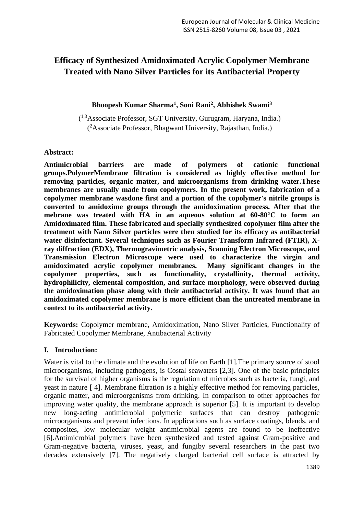# **Efficacy of Synthesized Amidoximated Acrylic Copolymer Membrane Treated with Nano Silver Particles for its Antibacterial Property**

## **Bhoopesh Kumar Sharma<sup>1</sup> , Soni Rani<sup>2</sup> , Abhishek Swami<sup>3</sup>**

( 1,3Associate Professor, SGT University, Gurugram, Haryana, India.) ( <sup>2</sup>Associate Professor, Bhagwant University, Rajasthan, India.)

#### **Abstract:**

**Antimicrobial barriers are made of polymers of cationic functional groups.PolymerMembrane filtration is considered as highly effective method for removing particles, organic matter, and microorganisms from drinking water.These membranes are usually made from copolymers. In the present work, fabrication of a copolymer membrane wasdone first and a portion of the copolymer's nitrile groups is converted to amidoxime groups through the amidoximation process. After that the mebrane was treated with HA in an aqueous solution at 60-80°C to form an Amidoximated film. These fabricated and specially synthesized copolymer film after the treatment with Nano Silver particles were then studied for its efficacy as antibacterial water disinfectant. Several techniques such as Fourier Transform Infrared (FTIR), Xray diffraction (EDX), Thermogravimetric analysis, Scanning Electron Microscope, and Transmission Electron Microscope were used to characterize the virgin and amidoximated acrylic copolymer membranes. Many significant changes in the copolymer properties, such as functionality, crystallinity, thermal activity, hydrophilicity, elemental composition, and surface morphology, were observed during the amidoximation phase along with their antibacterial activity. It was found that an amidoximated copolymer membrane is more efficient than the untreated membrane in context to its antibacterial activity.**

**Keywords:** Copolymer membrane, Amidoximation, Nano Silver Particles, Functionality of Fabricated Copolymer Membrane, Antibacterial Activity

## **I. Introduction:**

Water is vital to the climate and the evolution of life on Earth [1].The primary source of stool microorganisms, including pathogens, is Costal seawaters [2,3]. One of the basic principles for the survival of higher organisms is the regulation of microbes such as bacteria, fungi, and yeast in nature [ 4]. Membrane filtration is a highly effective method for removing particles, organic matter, and microorganisms from drinking. In comparison to other approaches for improving water quality, the membrane approach is superior [5]. It is important to develop new long-acting antimicrobial polymeric surfaces that can destroy pathogenic microorganisms and prevent infections. In applications such as surface coatings, blends, and composites, low molecular weight antimicrobial agents are found to be ineffective [6].Antimicrobial polymers have been synthesized and tested against Gram-positive and Gram-negative bacteria, viruses, yeast, and fungiby several researchers in the past two decades extensively [7]. The negatively charged bacterial cell surface is attracted by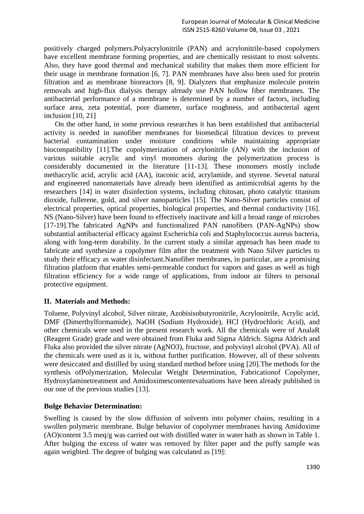positively charged polymers.Polyacrylonitrile (PAN) and acrylonitrile-based copolymers have excellent membrane forming properties, and are chemically resistant to most solvents. Also, they have good thermal and mechanical stability that makes them more efficient for their usage in membrane formation [6, 7]. PAN membranes have also been used for protein filtration and as membrane bioreactors [8, 9]. Dialyzers that emphasize molecule protein removals and high-flux dialysis therapy already use PAN hollow fiber membranes. The antibacterial performance of a membrane is determined by a number of factors, including surface area, zeta potential, pore diameter, surface roughness, and antibacterial agent inclusion [10, 21]

On the other hand, in some previous researches it has been established that antibacterial activity is needed in nanofiber membranes for biomedical filtration devices to prevent bacterial contamination under moisture conditions while maintaining appropriate biocompatibility [11].The copolymerization of acrylonitrile (AN) with the inclusion of various suitable acrylic and vinyl monomers during the polymerization process is considerably documented in the literature [11-13]. These monomers mostly include methacrylic acid, acrylic acid (AA), itaconic acid, acrylamide, and styrene. Several natural and engineered nanomaterials have already been identified as antimicrobial agents by the researchers [14] in water disinfection systems, including chitosan, photo catalytic titanium dioxide, fullerene, gold, and silver nanoparticles [15]. The Nano-Silver particles consist of electrical properties, optical properties, biological properties, and thermal conductivity [16]. NS (Nano-Silver) have been found to effectively inactivate and kill a broad range of microbes [17-19].The fabricated AgNPs and functionalized PAN nanofibers (PAN-AgNPs) show substantial antibacterial efficacy against Escherichia coli and Staphylococcus aureus bacteria, along with long-term durability. In the current study a similar approach has been made to fabricate and synthesize a copolymer film after the treatment with Nano Silver particles to study their efficacy as water disinfectant.Nanofiber membranes, in particular, are a promising filtration platform that enables semi-permeable conduct for vapors and gases as well as high filtration efficiency for a wide range of applications, from indoor air filters to personal protective equipment.

## **II. Materials and Methods:**

Toluene, Polyvinyl alcohol, Silver nitrate, Azobisisobutyronitrile, Acrylonitrile, Acrylic acid, DMF (Dimerthylformamide), NaOH (Sodium Hydroxide), HCl (Hydrochloric Acid), and other chemicals were used in the present research work. All the chemicals were of AnalaR (Reagent Grade) grade and were obtained from Fluka and Sigma Aldrich. Sigma Aldrich and Fluka also provided the silver nitrate (AgNO3), fructose, and polyvinyl alcohol (PVA). All of the chemicals were used as it is, without further purification. However, all of these solvents were desiccated and distilled by using standard method before using [20].The methods for the synthesis ofPolymerization, Molecular Weight Determination, Fabricationof Copolymer, Hydroxylaminetreatment and Amidoximescontentevaluations have been already published in our one of the previous studies [13].

## **Bulge Behavior Determination:**

Swelling is caused by the slow diffusion of solvents into polymer chains, resulting in a swollen polymeric membrane. Bulge behavior of copolymer membranes having Amidoxime (AO)content 3.5 meq/g was carried out with distilled water in water bath as shown in Table 1. After bulging the excess of water was removed by filter paper and the puffy sample was again weighted. The degree of bulging was calculated as [19]: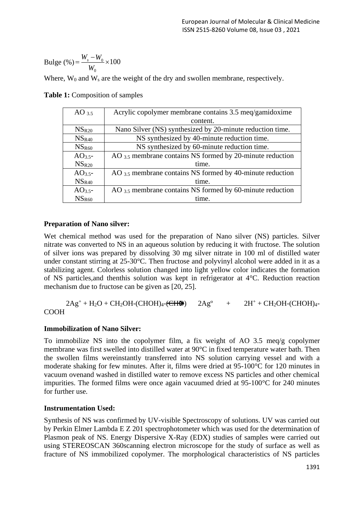Bulge (%) = 
$$
\frac{W_s - W_0}{W_0} \times 100
$$

Where,  $W_0$  and  $W_s$  are the weight of the dry and swollen membrane, respectively.

**Table 1:** Composition of samples

| $AO_{3.5}$        | Acrylic copolymer membrane contains 3.5 meg/gamidoxime         |  |
|-------------------|----------------------------------------------------------------|--|
|                   | content.                                                       |  |
| $NS_{R20}$        | Nano Silver (NS) synthesized by 20-minute reduction time.      |  |
| NS <sub>R40</sub> | NS synthesized by 40-minute reduction time.                    |  |
| NS <sub>R60</sub> | NS synthesized by 60-minute reduction time.                    |  |
| $AO3.5$ -         | AO 3.5 membrane contains NS formed by 20-minute reduction      |  |
| NS <sub>R20</sub> | time.                                                          |  |
| $AO3.5$ -         | AO $_{3.5}$ membrane contains NS formed by 40-minute reduction |  |
| NS <sub>R40</sub> | time.                                                          |  |
| $AO3.5$ -         | AO $_{3.5}$ membrane contains NS formed by 60-minute reduction |  |
| NS <sub>R60</sub> | time.                                                          |  |

## **Preparation of Nano silver:**

Wet chemical method was used for the preparation of Nano silver (NS) particles. Silver nitrate was converted to NS in an aqueous solution by reducing it with fructose. The solution of silver ions was prepared by dissolving 30 mg silver nitrate in 100 ml of distilled water under constant stirring at 25-30°C. Then fructose and polyvinyl alcohol were added in it as a stabilizing agent. Colorless solution changed into light yellow color indicates the formation of NS particles,and thenthis solution was kept in refrigerator at 4°C. Reduction reaction mechanism due to fructose can be given as [20, 25].

$$
2Ag^+ + H_2O + CH_2OH - (CHOH)_4 - (CHOH) - 2Ag^o + 2H^+ + CH_2OH - (CHOH)_4 - 2OOH
$$

## **Immobilization of Nano Silver:**

To immobilize NS into the copolymer film, a fix weight of AO 3.5 meq/g copolymer membrane was first swelled into distilled water at 90°C in fixed temperature water bath. Then the swollen films wereinstantly transferred into NS solution carrying vessel and with a moderate shaking for few minutes. After it, films were dried at 95-100°C for 120 minutes in vacuum ovenand washed in distilled water to remove excess NS particles and other chemical impurities. The formed films were once again vacuumed dried at 95-100°C for 240 minutes for further use.

## **Instrumentation Used:**

Synthesis of NS was confirmed by UV-visible Spectroscopy of solutions. UV was carried out by Perkin Elmer Lambda E Z 201 spectrophotometer which was used for the determination of Plasmon peak of NS. Energy Dispersive X-Ray (EDX) studies of samples were carried out using STEREOSCAN 360scanning electron microscope for the study of surface as well as fracture of NS immobilized copolymer. The morphological characteristics of NS particles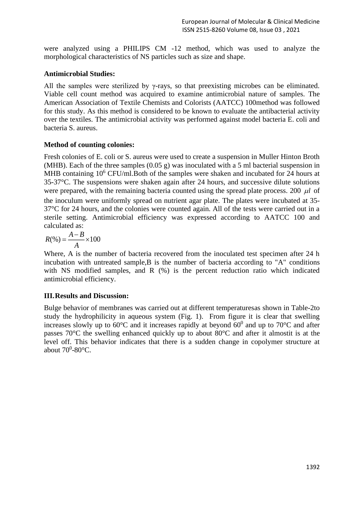were analyzed using a PHILIPS CM -12 method, which was used to analyze the morphological characteristics of NS particles such as size and shape.

#### **Antimicrobial Studies:**

All the samples were sterilized by γ-rays, so that preexisting microbes can be eliminated. Viable cell count method was acquired to examine antimicrobial nature of samples. The American Association of Textile Chemists and Colorists (AATCC) 100method was followed for this study. As this method is considered to be known to evaluate the antibacterial activity over the textiles. The antimicrobial activity was performed against model bacteria E. coli and bacteria S. aureus.

#### **Method of counting colonies:**

Fresh colonies of E. coli or S. aureus were used to create a suspension in Muller Hinton Broth (MHB). Each of the three samples (0.05 g) was inoculated with a 5 ml bacterial suspension in MHB containing 10<sup>6</sup> CFU/ml.Both of the samples were shaken and incubated for 24 hours at 35-37°C. The suspensions were shaken again after 24 hours, and successive dilute solutions were prepared, with the remaining bacteria counted using the spread plate process. 200  $\mu$ l of the inoculum were uniformly spread on nutrient agar plate. The plates were incubated at 35- 37°C for 24 hours, and the colonies were counted again. All of the tests were carried out in a sterile setting. Antimicrobial efficiency was expressed according to AATCC 100 and calculated as:

$$
R(\%)=\frac{A-B}{A}\times 100
$$

Where, A is the number of bacteria recovered from the inoculated test specimen after 24 h incubation with untreated sample,B is the number of bacteria according to "A" conditions with NS modified samples, and R  $(\%)$  is the percent reduction ratio which indicated antimicrobial efficiency.

## **III.Results and Discussion:**

Bulge behavior of membranes was carried out at different temperaturesas shown in Table-2to study the hydrophilicity in aqueous system (Fig. 1). From figure it is clear that swelling increases slowly up to 60 $\degree$ C and it increases rapidly at beyond 60 $\degree$  and up to 70 $\degree$ C and after passes 70°C the swelling enhanced quickly up to about 80°C and after it almostit is at the level off. This behavior indicates that there is a sudden change in copolymer structure at about  $70^0$ -80 $\degree$ C.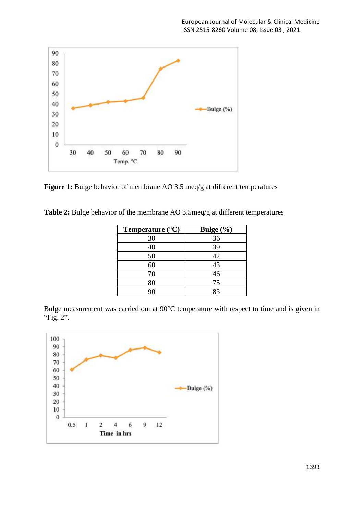

Figure 1: Bulge behavior of membrane AO 3.5 meq/g at different temperatures

**Table 2:** Bulge behavior of the membrane AO 3.5meq/g at different temperatures

| Temperature $(^{\circ}C)$ | Bulge (%) |
|---------------------------|-----------|
| 30                        | 36        |
| 40                        | 39        |
| 50                        | 42        |
| 60                        | 43        |
| 70                        | 46        |
| 80                        | 75        |
| 90                        | 83        |

Bulge measurement was carried out at 90°C temperature with respect to time and is given in "Fig. 2".

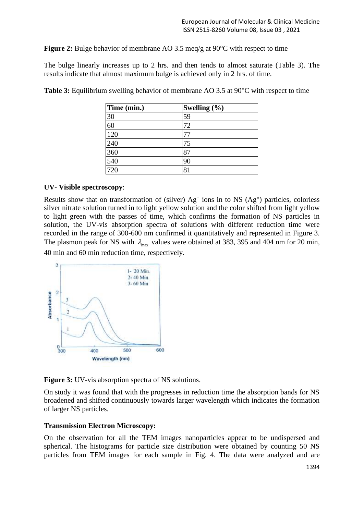**Figure 2:** Bulge behavior of membrane AO 3.5 meq/g at 90<sup>o</sup>C with respect to time

The bulge linearly increases up to 2 hrs. and then tends to almost saturate (Table 3). The results indicate that almost maximum bulge is achieved only in 2 hrs. of time.

| Time (min.)      | Swelling $(\% )$ |
|------------------|------------------|
| 30               | 59               |
| 60               | 72               |
| 120              |                  |
| 240              | 75               |
| 360              | 81               |
| 540              |                  |
| $\overline{720}$ | 81               |

**Table 3:** Equilibrium swelling behavior of membrane AO 3.5 at 90°C with respect to time

#### **UV- Visible spectroscopy**:

Results show that on transformation of (silver)  $Ag<sup>+</sup>$  ions in to NS (Ag<sup>o</sup>) particles, colorless silver nitrate solution turned in to light yellow solution and the color shifted from light yellow to light green with the passes of time, which confirms the formation of NS particles in solution, the UV-vis absorption spectra of solutions with different reduction time were recorded in the range of 300-600 nm confirmed it quantitatively and represented in Figure 3. The plasmon peak for NS with  $\lambda_{\text{max}}$  values were obtained at 383, 395 and 404 nm for 20 min, 40 min and 60 min reduction time, respectively.



**Figure 3:** UV-vis absorption spectra of NS solutions.

On study it was found that with the progresses in reduction time the absorption bands for NS broadened and shifted continuously towards larger wavelength which indicates the formation of larger NS particles.

#### **Transmission Electron Microscopy:**

On the observation for all the TEM images nanoparticles appear to be undispersed and spherical. The histograms for particle size distribution were obtained by counting 50 NS particles from TEM images for each sample in Fig. 4. The data were analyzed and are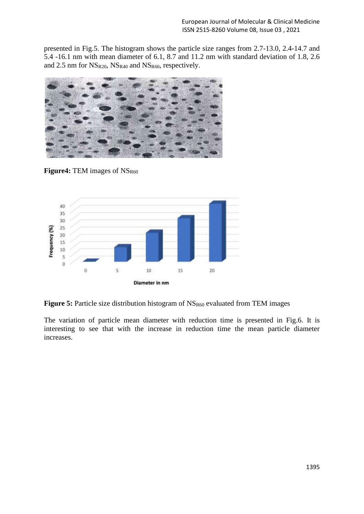presented in Fig.5. The histogram shows the particle size ranges from 2.7-13.0, 2.4-14.7 and 5.4 -16.1 nm with mean diameter of 6.1, 8.7 and 11.2 nm with standard deviation of 1.8, 2.6 and 2.5 nm for  $NS_{R20}$ ,  $NS_{R40}$  and  $NS_{R60}$ , respectively.



**Figure4:** TEM images of NS<sub>R60</sub>



**Figure 5:** Particle size distribution histogram of NS<sub>R60</sub> evaluated from TEM images

The variation of particle mean diameter with reduction time is presented in Fig.6. It is interesting to see that with the increase in reduction time the mean particle diameter increases.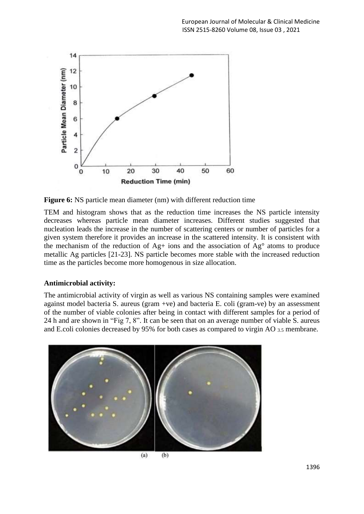

**Figure 6:** NS particle mean diameter (nm) with different reduction time

TEM and histogram shows that as the reduction time increases the NS particle intensity decreases whereas particle mean diameter increases. Different studies suggested that nucleation leads the increase in the number of scattering centers or number of particles for a given system therefore it provides an increase in the scattered intensity. It is consistent with the mechanism of the reduction of Ag+ ions and the association of Ag° atoms to produce metallic Ag particles [21-23]. NS particle becomes more stable with the increased reduction time as the particles become more homogenous in size allocation.

## **Antimicrobial activity:**

The antimicrobial activity of virgin as well as various NS containing samples were examined against model bacteria S. aureus (gram +ve) and bacteria E. coli (gram-ve) by an assessment of the number of viable colonies after being in contact with different samples for a period of 24 h and are shown in "Fig 7, 8". It can be seen that on an average number of viable S. aureus and E.coli colonies decreased by 95% for both cases as compared to virgin AO 3.5 membrane.



 $(b)$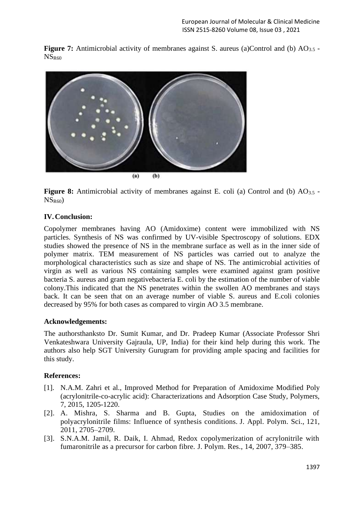**Figure 7:** Antimicrobial activity of membranes against S. aureus (a)Control and (b) AO<sub>3.5</sub> -NS<sub>R60</sub>



**Figure 8:** Antimicrobial activity of membranes against E. coli (a) Control and (b) AO<sub>3.5</sub> - $NS<sub>R60</sub>$ 

## **IV.Conclusion:**

Copolymer membranes having AO (Amidoxime) content were immobilized with NS particles. Synthesis of NS was confirmed by UV-visible Spectroscopy of solutions. EDX studies showed the presence of NS in the membrane surface as well as in the inner side of polymer matrix. TEM measurement of NS particles was carried out to analyze the morphological characteristics such as size and shape of NS. The antimicrobial activities of virgin as well as various NS containing samples were examined against gram positive bacteria S. aureus and gram negativebacteria E. coli by the estimation of the number of viable colony.This indicated that the NS penetrates within the swollen AO membranes and stays back. It can be seen that on an average number of viable S. aureus and E.coli colonies decreased by 95% for both cases as compared to virgin AO 3.5 membrane.

#### **Acknowledgements:**

The authorsthanksto Dr. Sumit Kumar, and Dr. Pradeep Kumar (Associate Professor Shri Venkateshwara University Gajraula, UP, India) for their kind help during this work. The authors also help SGT University Gurugram for providing ample spacing and facilities for this study.

#### **References:**

- [1]. N.A.M. Zahri et al., Improved Method for Preparation of Amidoxime Modified Poly (acrylonitrile-co-acrylic acid): Characterizations and Adsorption Case Study, Polymers, 7, 2015, 1205-1220.
- [2]. A. Mishra, S. Sharma and B. Gupta, Studies on the amidoximation of polyacrylonitrile films: Influence of synthesis conditions. J. Appl. Polym. Sci., 121, 2011, 2705–2709.
- [3]. S.N.A.M. Jamil, R. Daik, I. Ahmad, Redox copolymerization of acrylonitrile with fumaronitrile as a precursor for carbon fibre. J. Polym. Res., 14, 2007, 379–385.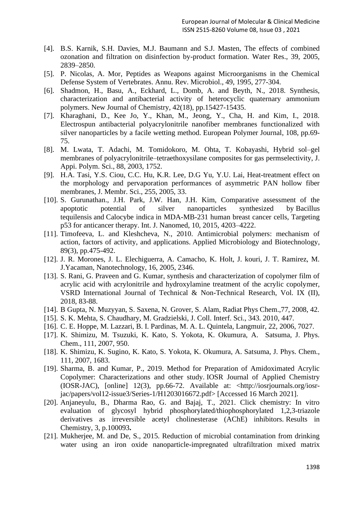- [4]. B.S. Karnik, S.H. Davies, M.J. Baumann and S.J. Masten, The effects of combined ozonation and filtration on disinfection by-product formation. Water Res., 39, 2005, 2839–2850.
- [5]. P. Nicolas, A. Mor, Peptides as Weapons against Microorganisms in the Chemical Defense System of Vertebrates. Annu. Rev. Microbiol., 49, 1995, 277-304.
- [6]. Shadmon, H., Basu, A., Eckhard, L., Domb, A. and Beyth, N., 2018. Synthesis, characterization and antibacterial activity of heterocyclic quaternary ammonium polymers. New Journal of Chemistry, 42(18), pp.15427-15435.
- [7]. Kharaghani, D., Kee Jo, Y., Khan, M., Jeong, Y., Cha, H. and Kim, I., 2018. Electrospun antibacterial polyacrylonitrile nanofiber membranes functionalized with silver nanoparticles by a facile wetting method. European Polymer Journal, 108, pp.69- 75.
- [8]. M. Lwata, T. Adachi, M. Tomidokoro, M. Ohta, T. Kobayashi, Hybrid sol–gel membranes of polyacrylonitrile–tetraethoxysilane composites for gas permselectivity, J. Appi. Polym. Sci., 88, 2003, 1752.
- [9]. H.A. Tasi, Y.S. Ciou, C.C. Hu, K.R. Lee, D.G Yu, Y.U. Lai, [Heat-treatment effect on](https://www.sciencedirect.com/science/article/pii/S0376738805000931)  [the morphology and pervaporation performances of asymmetric PAN hollow fiber](https://www.sciencedirect.com/science/article/pii/S0376738805000931)  [membranes,](https://www.sciencedirect.com/science/article/pii/S0376738805000931) J. Membr. Sci., 255, 2005, 33.
- [10]. S. Gurunathan., J.H. Park, J.W. Han, J.H. Kim, Comparative assessment of the apoptotic potential of silver nanoparticles synthesized by Bacillus tequilensis and Calocybe indica in MDA-MB-231 human breast cancer cells, Targeting p53 for anticancer therapy. Int. J. Nanomed, 10, 2015, 4203–4222.
- [11]. Timofeeva, L. and Kleshcheva, N., 2010. Antimicrobial polymers: mechanism of action, factors of activity, and applications. Applied Microbiology and Biotechnology, 89(3), pp.475-492.
- [12]. J. R. Morones, J. L. Elechiguerra, A. Camacho, K. Holt, J. kouri, J. T. Ramirez, M. J.Yacaman, Nanotechnology, 16, 2005, 2346.
- [13]. S. Rani, G. Praveen and G. Kumar, synthesis and characterization of copolymer film of acrylic acid with acrylonitrile and hydroxylamine treatment of the acrylic copolymer, VSRD International Journal of Technical & Non-Technical Research, Vol. IX (II), 2018, 83-88.
- [14]. B Gupta, N. Muzyyan, S. Saxena, N. Grover, S. Alam, Radiat Phys Chem.,77, 2008, 42.
- [15]. S. K. Mehta, S. Chaudhary, M. Gradzielski, J. Coll. Interf. Sci., 343. 2010, 447.
- [16]. C. E. Hoppe, M. Lazzari, B. I. Pardinas, M. A. L. Quintela, Langmuir, 22, 2006, 7027.
- [17]. K. Shimizu, M. Tsuzuki, K. Kato, S. Yokota, K. Okumura, A. Satsuma, J. Phys. Chem., 111, 2007, 950.
- [18]. K. Shimizu, K. Sugino, K. Kato, S. Yokota, K. Okumura, A. Satsuma, J. Phys. Chem., 111, 2007, 1683.
- [19]. Sharma, B. and Kumar, P., 2019. Method for Preparation of Amidoximated Acrylic Copolymer: Characterizations and other study. IOSR Journal of Applied Chemistry (IOSR-JAC), [online] 12(3), pp.66-72. Available at: <http://iosrjournals.org/iosrjac/papers/vol12-issue3/Series-1/H1203016672.pdf> [Accessed 16 March 2021].
- [20]. Anjaneyulu, B., Dharma Rao, G. and Bajaj, T., 2021. Click chemistry: In vitro evaluation of glycosyl hybrid phosphorylated/thiophosphorylated 1,2,3-triazole derivatives as irreversible acetyl cholinesterase (AChE) inhibitors. Results in Chemistry, 3, p.100093**.**
- [21]. Mukherjee, M. and De, S., 2015. Reduction of microbial contamination from drinking water using an iron oxide nanoparticle-impregnated ultrafiltration mixed matrix